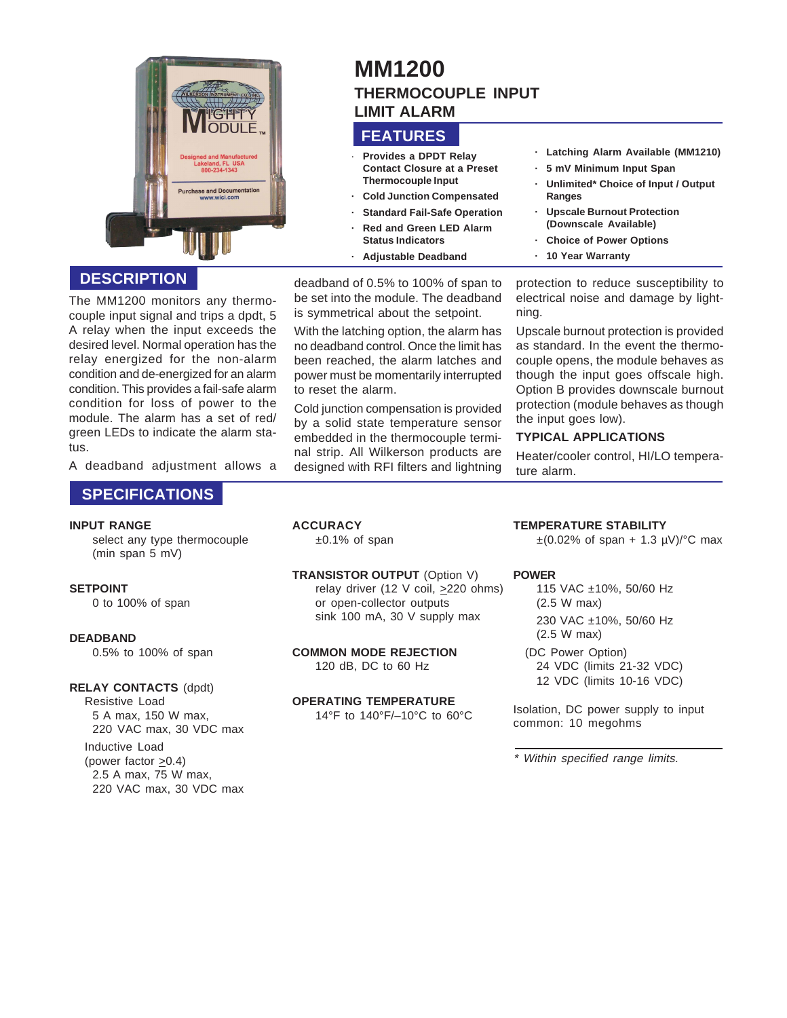

# **DESCRIPTION**

The MM1200 monitors any thermocouple input signal and trips a dpdt, 5 A relay when the input exceeds the desired level. Normal operation has the relay energized for the non-alarm condition and de-energized for an alarm condition. This provides a fail-safe alarm condition for loss of power to the module. The alarm has a set of red/ green LEDs to indicate the alarm status.

A deadband adjustment allows a

# **SPECIFICATIONS**

#### **INPUT RANGE**

select any type thermocouple (min span 5 mV)

# **SETPOINT**

0 to 100% of span

# **DEADBAND**

0.5% to 100% of span

# **RELAY CONTACTS** (dpdt)

Resistive Load 5 A max, 150 W max, 220 VAC max, 30 VDC max

Inductive Load (power factor  $\geq 0.4$ ) 2.5 A max, 75 W max, 220 VAC max, 30 VDC max

# **MM1200 THERMOCOUPLE INPUT LIMIT ALARM**

# **FEATURES**

- · **Provides a DPDT Relay Contact Closure at a Preset Thermocouple Input**
- **· Cold Junction Compensated**
- **Standard Fail-Safe Operation**
- **· Red and Green LED Alarm Status Indicators**
- **· Adjustable Deadband**

deadband of 0.5% to 100% of span to be set into the module. The deadband is symmetrical about the setpoint.

With the latching option, the alarm has no deadband control. Once the limit has been reached, the alarm latches and power must be momentarily interrupted to reset the alarm.

Cold junction compensation is provided by a solid state temperature sensor embedded in the thermocouple terminal strip. All Wilkerson products are designed with RFI filters and lightning **· Latching Alarm Available (MM1210)**

- **· 5 mV Minimum Input Span**
- **· Unlimited\* Choice of Input / Output Ranges**
- **· Upscale Burnout Protection (Downscale Available)**
- **· Choice of Power Options**
- **· 10 Year Warranty**

protection to reduce susceptibility to electrical noise and damage by lightning.

Upscale burnout protection is provided as standard. In the event the thermocouple opens, the module behaves as though the input goes offscale high. Option B provides downscale burnout protection (module behaves as though the input goes low).

# **TYPICAL APPLICATIONS**

Heater/cooler control, HI/LO temperature alarm.

# **ACCURACY**

 $±0.1\%$  of span

#### **TRANSISTOR OUTPUT** (Option V) relay driver (12 V coil, >220 ohms) or open-collector outputs sink 100 mA, 30 V supply max

### **COMMON MODE REJECTION** 120 dB, DC to 60 Hz

#### **OPERATING TEMPERATURE** 14°F to 140°F/–10°C to 60°C

# **TEMPERATURE STABILITY**

 $\pm (0.02\% \text{ of span } + 1.3 \text{ }\mu\text{V})^{\circ} \text{C}$  max

# **POWER**

- 115 VAC ±10%, 50/60 Hz (2.5 W max) 230 VAC ±10%, 50/60 Hz (2.5 W max)
- (DC Power Option) 24 VDC (limits 21-32 VDC) 12 VDC (limits 10-16 VDC)

Isolation, DC power supply to input common: 10 megohms

\* Within specified range limits.